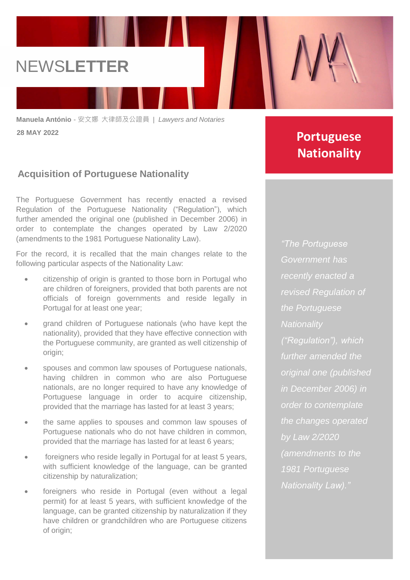## NEWS**LETTER**

**Manuela António** - 安文娜 大律師及公證員 *| Lawyers and Notaries* **28 MAY 2022**

### **Acquisition of Portuguese Nationality**

The Portuguese Government has recently enacted a revised Regulation of the Portuguese Nationality ("Regulation"), which further amended the original one (published in December 2006) in order to contemplate the changes operated by Law 2/2020 (amendments to the 1981 Portuguese Nationality Law).

For the record, it is recalled that the main changes relate to the following particular aspects of the Nationality Law:

- citizenship of origin is granted to those born in Portugal who are children of foreigners, provided that both parents are not officials of foreign governments and reside legally in Portugal for at least one year;
- grand children of Portuguese nationals (who have kept the nationality), provided that they have effective connection with the Portuguese community, are granted as well citizenship of origin;
- spouses and common law spouses of Portuguese nationals, having children in common who are also Portuguese nationals, are no longer required to have any knowledge of Portuguese language in order to acquire citizenship, provided that the marriage has lasted for at least 3 years;
- the same applies to spouses and common law spouses of Portuguese nationals who do not have children in common, provided that the marriage has lasted for at least 6 years;
- foreigners who reside legally in Portugal for at least 5 years, with sufficient knowledge of the language, can be granted citizenship by naturalization;
- foreigners who reside in Portugal (even without a legal permit) for at least 5 years, with sufficient knowledge of the language, can be granted citizenship by naturalization if they have children or grandchildren who are Portuguese citizens of origin;

## **Portuguese Nationality**

*"The Portuguese Government has recently enacted a revised Regulation of the Portuguese Nationality ("Regulation"), which further amended the original one (published in December 2006) in order to contemplate the changes operated by Law 2/2020 (amendments to the 1981 Portuguese Nationality Law)."*